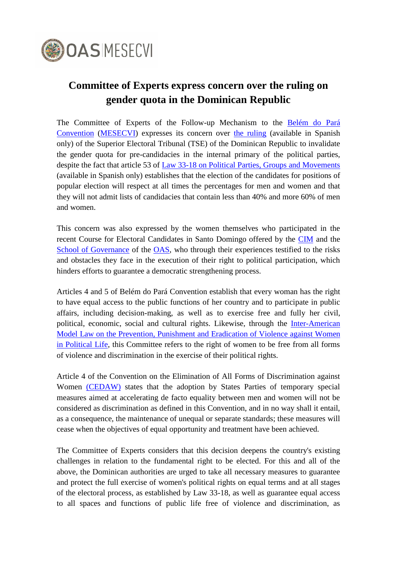

## **Committee of Experts express concern over the ruling on gender quota in the Dominican Republic**

The Committee of Experts of the Follow-up Mechanism to the Belém [do Pará](http://www.oas.org/en/mesecvi/docs/BelemDoPara-ENGLISH.pdf)  [Convention](http://www.oas.org/en/mesecvi/docs/BelemDoPara-ENGLISH.pdf) [\(MESECVI\)](http://www.oas.org/en/mesecvi/about.asp) expresses its concern over [the ruling](http://tse.do/Docs/DispositivosSentecia/2019dispositivos/Dispositivo%20TSE-056-2019,%20Epx.%20Num.%20TSE-053-2019.pdf) (available in Spanish only) of the Superior Electoral Tribunal (TSE) of the Dominican Republic to invalidate the gender quota for pre-candidacies in the internal primary of the political parties, despite the fact that article 53 of [Law 33-18 on Political Parties, Groups and Movements](https://www.poderjudicial.gob.do/documentos/PDF/leyes/LEY_ley_num._33_18_1_7.pdf) (available in Spanish only) establishes that the election of the candidates for positions of popular election will respect at all times the percentages for men and women and that they will not admit lists of candidacies that contain less than 40% and more 60% of men and women.

This concern was also expressed by the women themselves who participated in the recent Course for Electoral Candidates in Santo Domingo offered by the [CIM](http://www.oas.org/en/cim/default.asp) and the [School of Governance](http://www.oas.org/en/spa/depm/escuelagob/escuela-de-gobierno.asp) of the [OAS,](http://www.oas.org/en/default.asp) who through their experiences testified to the risks and obstacles they face in the execution of their right to political participation, which hinders efforts to guarantee a democratic strengthening process.

Articles 4 and 5 of Belém do Pará Convention establish that every woman has the right to have equal access to the public functions of her country and to participate in public affairs, including decision-making, as well as to exercise free and fully her civil, political, economic, social and cultural rights. Likewise, through the [Inter-American](http://www.oas.org/en/mesecvi/docs/LeyModeloViolenciaPolitica-EN.pdf)  [Model Law on the Prevention, Punishment and Eradication of](http://www.oas.org/en/mesecvi/docs/LeyModeloViolenciaPolitica-EN.pdf) Violence against Women [in Political Life,](http://www.oas.org/en/mesecvi/docs/LeyModeloViolenciaPolitica-EN.pdf) this Committee refers to the right of women to be free from all forms of violence and discrimination in the exercise of their political rights.

Article 4 of the Convention on the Elimination of All Forms of Discrimination against Women [\(CEDAW\)](https://www.ohchr.org/en/professionalinterest/pages/cedaw.aspx) states that the adoption by States Parties of temporary special measures aimed at accelerating de facto equality between men and women will not be considered as discrimination as defined in this Convention, and in no way shall it entail, as a consequence, the maintenance of unequal or separate standards; these measures will cease when the objectives of equal opportunity and treatment have been achieved.

The Committee of Experts considers that this decision deepens the country's existing challenges in relation to the fundamental right to be elected. For this and all of the above, the Dominican authorities are urged to take all necessary measures to guarantee and protect the full exercise of women's political rights on equal terms and at all stages of the electoral process, as established by Law 33-18, as well as guarantee equal access to all spaces and functions of public life free of violence and discrimination, as